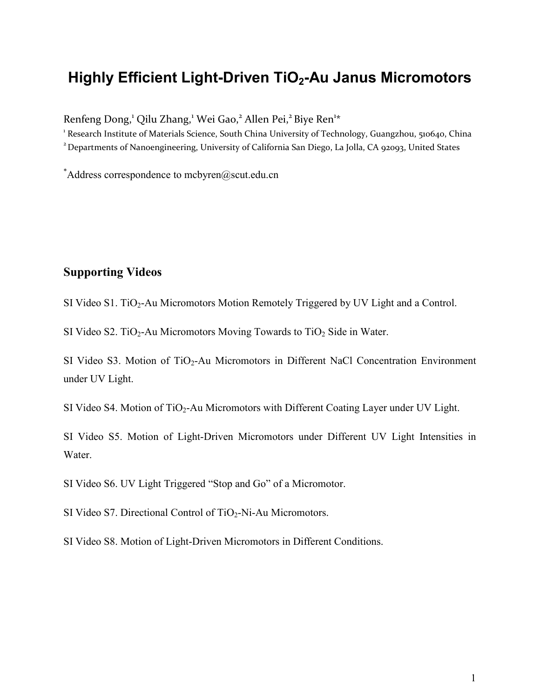## **Highly Efficient Light-Driven TiO2-Au Janus Micromotors**

Renfeng Dong,<sup>1</sup> Qilu Zhang,<sup>1</sup> Wei Gao,<sup>2</sup> Allen Pei,<sup>2</sup> Biye Ren<sup>1\*</sup>

<sup>1</sup> Research Institute of Materials Science, South China University of Technology, Guangzhou, 510640, China <sup>2</sup> Departments of Nanoengineering, University of California San Diego, La Jolla, CA 92093, United States

 $*$ Address correspondence to mcbyren@scut.edu.cn

## **Supporting Videos**

SI Video S1. TiO<sub>2</sub>-Au Micromotors Motion Remotely Triggered by UV Light and a Control.

SI Video S2. TiO<sub>2</sub>-Au Micromotors Moving Towards to TiO<sub>2</sub> Side in Water.

SI Video S3. Motion of TiO<sub>2</sub>-Au Micromotors in Different NaCl Concentration Environment under UV Light.

SI Video S4. Motion of  $TiO<sub>2</sub>$ -Au Micromotors with Different Coating Layer under UV Light.

SI Video S5. Motion of Light-Driven Micromotors under Different UV Light Intensities in Water.

SI Video S6. UV Light Triggered "Stop and Go" of a Micromotor.

SI Video S7. Directional Control of  $TiO<sub>2</sub>-Ni-Au$  Micromotors.

SI Video S8. Motion of Light-Driven Micromotors in Different Conditions.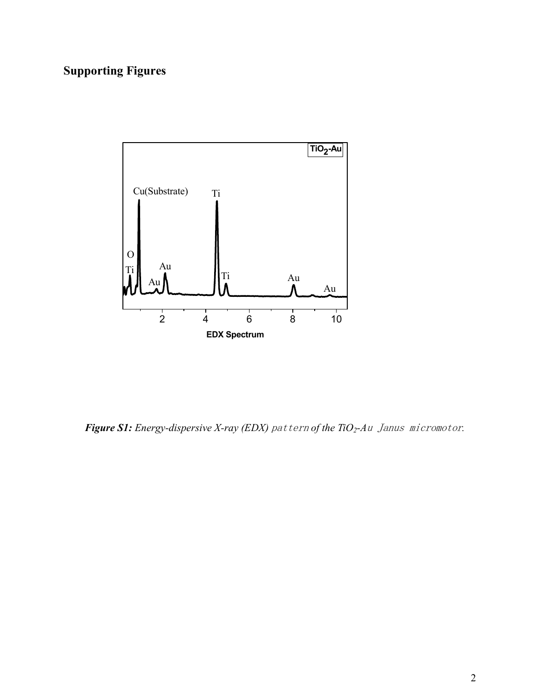## **Supporting Figures**



*Figure S1: Energy-dispersive X-ray (EDX)* pattern *of the TiO2-A*u Janus micromotor*.*